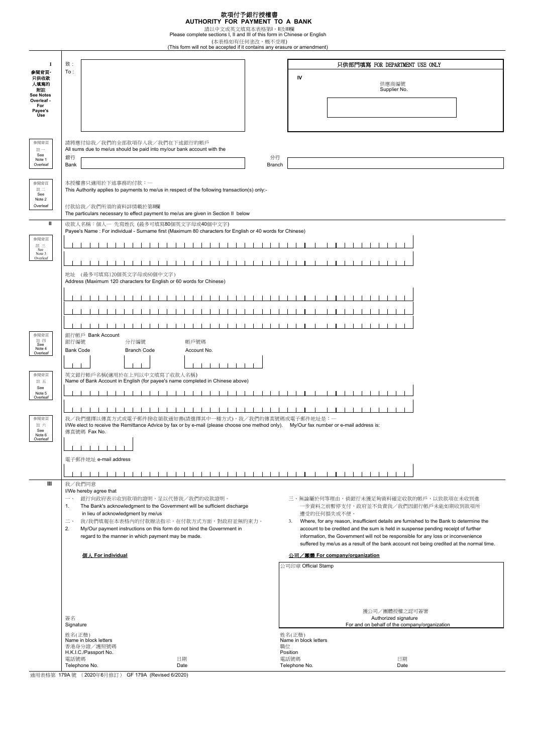**款項付予銀行授權書**<br>**AUTHORITY FOR PAYMENT TO A BANK**<br>請以中文或英文填寫本表格第I,I及II欄<br>Please complete sections I, II and III of this form in Chinese or English<br>(This form will not be accepted if it contains any erasure or amendment)

| л                                                                 | 致:                                                                                                                                                                                                 |                                 | 只供部門填寫 FOR DEPARTMENT USE ONLY                                                           |
|-------------------------------------------------------------------|----------------------------------------------------------------------------------------------------------------------------------------------------------------------------------------------------|---------------------------------|------------------------------------------------------------------------------------------|
| 参閱背頁                                                              | To:                                                                                                                                                                                                |                                 |                                                                                          |
| 只供收款                                                              |                                                                                                                                                                                                    | IV                              |                                                                                          |
| 人填寫的                                                              |                                                                                                                                                                                                    |                                 | 供應商編號                                                                                    |
| 附註<br><b>See Notes</b>                                            |                                                                                                                                                                                                    |                                 | Supplier No.                                                                             |
| Overleaf -                                                        |                                                                                                                                                                                                    |                                 |                                                                                          |
| For<br>Payee's                                                    |                                                                                                                                                                                                    |                                 |                                                                                          |
| Use                                                               |                                                                                                                                                                                                    |                                 |                                                                                          |
|                                                                   |                                                                                                                                                                                                    |                                 |                                                                                          |
|                                                                   |                                                                                                                                                                                                    |                                 |                                                                                          |
| 參閱背頁                                                              | 請將應付給我/我們的全部款項存入我/我們在下述銀行的帳戶                                                                                                                                                                       |                                 |                                                                                          |
| 註一                                                                | All sums due to me/us should be paid into my/our bank account with the                                                                                                                             |                                 |                                                                                          |
| See<br>Note 1                                                     | 銀行<br>分行                                                                                                                                                                                           |                                 |                                                                                          |
| Overleaf                                                          | Bank<br>Branch                                                                                                                                                                                     |                                 |                                                                                          |
|                                                                   |                                                                                                                                                                                                    |                                 |                                                                                          |
| 參閱背頁                                                              | 本授權書只適用於下述事務的付款: 一                                                                                                                                                                                 |                                 |                                                                                          |
| 註二                                                                | This Authority applies to payments to me/us in respect of the following transaction(s) only:-                                                                                                      |                                 |                                                                                          |
| See<br>Note 2                                                     |                                                                                                                                                                                                    |                                 |                                                                                          |
| Overleaf                                                          | 付款給我/我們所須的資料詳情載於第II欄                                                                                                                                                                               |                                 |                                                                                          |
|                                                                   | The particulars necessary to effect payment to me/us are given in Section II below                                                                                                                 |                                 |                                                                                          |
| Ш                                                                 | 收款人名稱:個人一 先寫姓氏 (最多可填寫80個英文字母或40個中文字)                                                                                                                                                               |                                 |                                                                                          |
|                                                                   | Payee's Name : For individual - Surname first (Maximum 80 characters for English or 40 words for Chinese)                                                                                          |                                 |                                                                                          |
| 參閱背頁                                                              |                                                                                                                                                                                                    |                                 |                                                                                          |
| $\mathop{\mathbb{H}}\limits_{\mathop{\mathsf{Sec}}\nolimits} \Xi$ |                                                                                                                                                                                                    |                                 |                                                                                          |
| Note 3                                                            |                                                                                                                                                                                                    |                                 |                                                                                          |
| Overleaf                                                          |                                                                                                                                                                                                    |                                 |                                                                                          |
|                                                                   |                                                                                                                                                                                                    |                                 |                                                                                          |
|                                                                   | 地址 (最多可填寫120個英文字母或60個中文字)                                                                                                                                                                          |                                 |                                                                                          |
|                                                                   | Address (Maximum 120 characters for English or 60 words for Chinese)                                                                                                                               |                                 |                                                                                          |
|                                                                   |                                                                                                                                                                                                    |                                 |                                                                                          |
|                                                                   |                                                                                                                                                                                                    |                                 |                                                                                          |
|                                                                   |                                                                                                                                                                                                    |                                 |                                                                                          |
|                                                                   |                                                                                                                                                                                                    |                                 |                                                                                          |
|                                                                   |                                                                                                                                                                                                    |                                 |                                                                                          |
| 參閱背頁                                                              | 銀行帳戶 Bank Account                                                                                                                                                                                  |                                 |                                                                                          |
| 註 四<br>See                                                        | 銀行編號<br>帳戶號碼<br>分行編號                                                                                                                                                                               |                                 |                                                                                          |
| Note 4<br>Overleaf                                                | <b>Bank Code</b><br><b>Branch Code</b><br>Account No.                                                                                                                                              |                                 |                                                                                          |
|                                                                   |                                                                                                                                                                                                    |                                 |                                                                                          |
|                                                                   |                                                                                                                                                                                                    |                                 |                                                                                          |
| 參閱背頁                                                              | 英文銀行帳戶名稱(適用於在上列以中文填寫了收款人名稱)                                                                                                                                                                        |                                 |                                                                                          |
| 註五                                                                | Name of Bank Account in English (for payee's name completed in Chinese above)                                                                                                                      |                                 |                                                                                          |
| See<br>Note 5                                                     |                                                                                                                                                                                                    |                                 |                                                                                          |
| Overleaf                                                          |                                                                                                                                                                                                    |                                 |                                                                                          |
|                                                                   |                                                                                                                                                                                                    |                                 |                                                                                          |
| 參閱背頁                                                              |                                                                                                                                                                                                    |                                 |                                                                                          |
| 註六                                                                | 我/我們選擇以傳真方式或電子郵件接收領款通知書(請選擇其中一種方式),我/我們的傳真號碼或電子郵件地址是:一<br>I/We elect to receive the Remittance Advice by fax or by e-mail (please choose one method only). My/Our fax number or e-mail address is: |                                 |                                                                                          |
| See<br>Note 6                                                     | 傳真號碼 Fax No.                                                                                                                                                                                       |                                 |                                                                                          |
| Overleaf                                                          |                                                                                                                                                                                                    |                                 |                                                                                          |
|                                                                   |                                                                                                                                                                                                    |                                 |                                                                                          |
|                                                                   | 電子郵件地址 e-mail address                                                                                                                                                                              |                                 |                                                                                          |
|                                                                   |                                                                                                                                                                                                    |                                 |                                                                                          |
|                                                                   |                                                                                                                                                                                                    |                                 |                                                                                          |
| Ш                                                                 | 我/我們同意                                                                                                                                                                                             |                                 |                                                                                          |
|                                                                   | I/We hereby agree that                                                                                                                                                                             |                                 |                                                                                          |
|                                                                   | 銀行向政府表示收到款項的證明,足以代替我/我們的收款證明。<br>$\overline{\phantom{a}}$ .                                                                                                                                        |                                 | 三、無論屬於何等理由,倘銀行未獲足夠資料確定收款的帳戶,以致款項在未收到進                                                    |
|                                                                   | The Bank's acknowledgment to the Government will be sufficient discharge<br>1.                                                                                                                     |                                 | 一步資料之前暫停支付,政府並不負責我/我們因銀行帳戶未能如期收到款項所                                                      |
|                                                                   | in lieu of acknowledgment by me/us                                                                                                                                                                 |                                 | 遭受的任何損失或不便。                                                                              |
|                                                                   | $\equiv$ -<br>我/我們填報在本表格內的付款辦法指示,在付款方式方面,對政府並無約束力。                                                                                                                                                 | 3.                              | Where, for any reason, insufficient details are furnished to the Bank to determine the   |
|                                                                   | 2.<br>My/Our payment instructions on this form do not bind the Government in                                                                                                                       |                                 | account to be credited and the sum is held in suspense pending receipt of further        |
|                                                                   | regard to the manner in which payment may be made.                                                                                                                                                 |                                 | information, the Government will not be responsible for any loss or inconvenience        |
|                                                                   |                                                                                                                                                                                                    |                                 | suffered by me/us as a result of the bank account not being credited at the normal time. |
|                                                                   | <b>個人 For individual</b>                                                                                                                                                                           |                                 | 公司/團體 For company/organization                                                           |
|                                                                   |                                                                                                                                                                                                    | 公司印章 Official Stamp             |                                                                                          |
|                                                                   |                                                                                                                                                                                                    |                                 |                                                                                          |
|                                                                   |                                                                                                                                                                                                    |                                 |                                                                                          |
|                                                                   |                                                                                                                                                                                                    |                                 |                                                                                          |
|                                                                   |                                                                                                                                                                                                    |                                 |                                                                                          |
|                                                                   |                                                                                                                                                                                                    |                                 |                                                                                          |
|                                                                   |                                                                                                                                                                                                    |                                 | 獲公司/團體授權之認可簽署                                                                            |
|                                                                   | 簽名<br>Signature                                                                                                                                                                                    |                                 | Authorized signature<br>For and on behalf of the company/organization                    |
|                                                                   |                                                                                                                                                                                                    |                                 |                                                                                          |
|                                                                   | 姓名(正楷)<br>Name in block letters                                                                                                                                                                    | 姓名(正楷)<br>Name in block letters |                                                                                          |
|                                                                   | 香港身分證/護照號碼                                                                                                                                                                                         | 職位                              |                                                                                          |
|                                                                   | H.K.I.C./Passport No.                                                                                                                                                                              | Position                        |                                                                                          |
|                                                                   | 電話號碼<br>日期<br>Telephone No.<br>Date                                                                                                                                                                | 電話號碼<br>Telephone No.           | 日期<br>Date                                                                               |
|                                                                   |                                                                                                                                                                                                    |                                 |                                                                                          |

通用表格第 179A 號 (2020年6月修訂) GF 179A (Revised 6/2020)